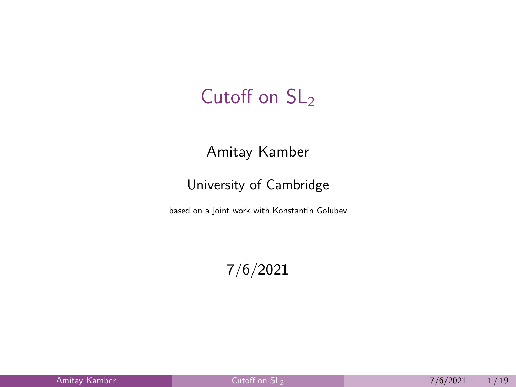## <span id="page-0-0"></span>Cutoff on  $SL<sub>2</sub>$

#### Amitay Kamber

#### University of Cambridge

based on a joint work with Konstantin Golubev

### 7/6/2021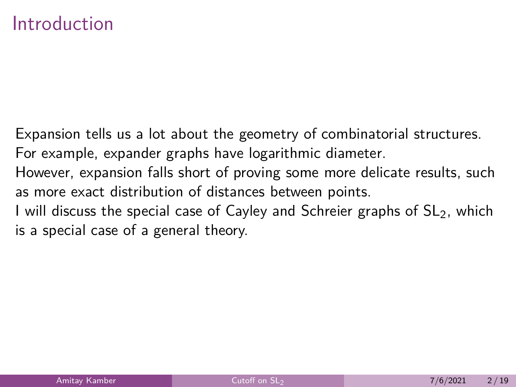### Introduction

Expansion tells us a lot about the geometry of combinatorial structures. For example, expander graphs have logarithmic diameter.

However, expansion falls short of proving some more delicate results, such as more exact distribution of distances between points.

I will discuss the special case of Cayley and Schreier graphs of SL2, which is a special case of a general theory.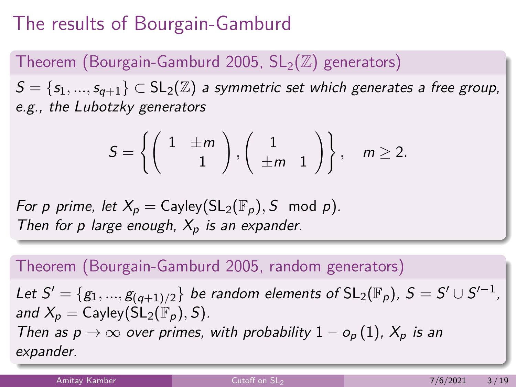# The results of Bourgain-Gamburd

### Theorem (Bourgain-Gamburd 2005,  $SL_2(\mathbb{Z})$  generators)

 $S = \{s_1, ..., s_{q+1}\} \subset SL_2(\mathbb{Z})$  a symmetric set which generates a free group, e.g., the Lubotzky generators

$$
S=\left\{\left(\begin{array}{cc}1 & \pm m \\ & 1\end{array}\right), \left(\begin{array}{cc}1 \\ \pm m & 1\end{array}\right)\right\}, \quad m\geq 2.
$$

For p prime, let  $X_p = \text{Cayley}(\text{SL}_2(\mathbb{F}_p), S \mod p)$ . Then for p large enough,  $X_p$  is an expander.

#### Theorem (Bourgain-Gamburd 2005, random generators)

Let  $S' = \{g_1, ..., g_{(q+1)/2}\}$  be random elements of  $\mathsf{SL}_2(\mathbb{F}_p)$ ,  $S = S' \cup S'^{-1}$ , and  $X_p = \text{Cayley}(\text{SL}_2(\mathbb{F}_p), S)$ . Then as  $p \to \infty$  over primes, with probability  $1 - o_p(1)$ ,  $X_p$  is an expander.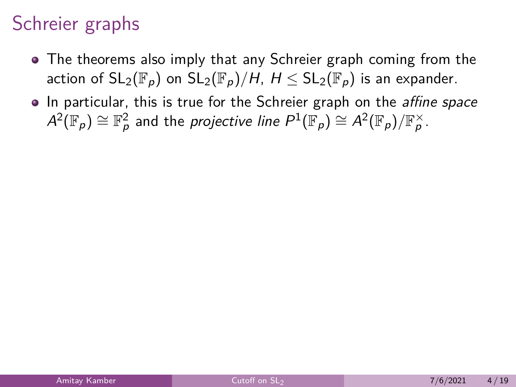# Schreier graphs

- The theorems also imply that any Schreier graph coming from the action of  $SL_2(\mathbb{F}_p)$  on  $SL_2(\mathbb{F}_p)/H$ ,  $H \le SL_2(\mathbb{F}_p)$  is an expander.
- In particular, this is true for the Schreier graph on the *affine space*  $A^2(\mathbb{F}_\rho)\cong \mathbb{F}_\rho^2$  and the *projective line*  $P^1(\mathbb{F}_\rho)\cong A^2(\mathbb{F}_\rho)/\mathbb{F}_\rho^\times$  *.*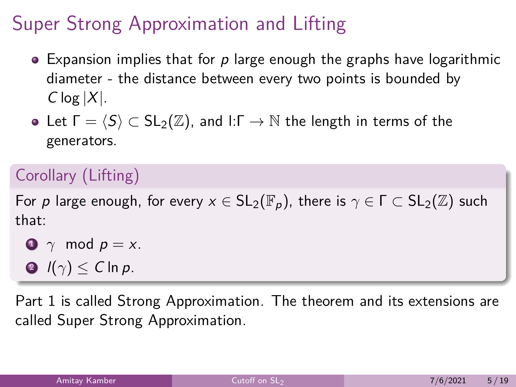# Super Strong Approximation and Lifting

- $\bullet$  Expansion implies that for p large enough the graphs have logarithmic diameter - the distance between every two points is bounded by  $C \log |X|$ .
- Let  $\Gamma = \langle S \rangle \subset SL_2(\mathbb{Z})$ , and l: $\Gamma \to \mathbb{N}$  the length in terms of the generators.

### Corollary (Lifting)

For p large enough, for every  $x \in SL_2(\mathbb{F}_p)$ , there is  $\gamma \in \Gamma \subset SL_2(\mathbb{Z})$  such that:

\n- **①** 
$$
\gamma \mod p = x
$$
.
\n- **②**  $I(\gamma) \leq C \ln p$ .
\n

Part 1 is called Strong Approximation. The theorem and its extensions are called Super Strong Approximation.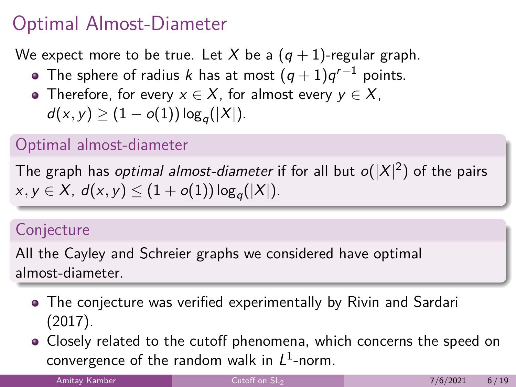### Optimal Almost-Diameter

We expect more to be true. Let X be a  $(q + 1)$ -regular graph.

- The sphere of radius  $k$  has at most  $(q+1)q^{r-1}$  points.
- Therefore, for every  $x \in X$ , for almost every  $y \in X$ ,  $d(x,y)\geq (1-o(1))\log_q(|X|).$

#### Optimal almost-diameter

The graph has *optimal almost-diameter* if for all but  $o(|X|^2)$  of the pairs  $x,y\in X$ ,  $d(x,y)\leq (1+o(1))\log_q(|X|).$ 

### **Conjecture**

All the Cayley and Schreier graphs we considered have optimal almost-diameter.

- The conjecture was verified experimentally by Rivin and Sardari (2017).
- Closely related to the cutoff phenomena, which concerns the speed on convergence of the random walk in  $L^1$ -norm.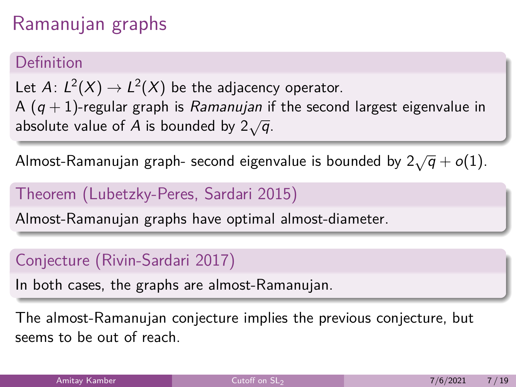# Ramanujan graphs

### Definition

Let  $A\colon L^2(X)\to L^2(X)$  be the adjacency operator. A  $(q + 1)$ -regular graph is Ramanujan if the second largest eigenvalue in absolute value of A is bounded by  $2\sqrt{q}$ .

Almost-Ramanujan graph- second eigenvalue is bounded by  $2\sqrt{q}+o(1).$ 

### Theorem (Lubetzky-Peres, Sardari 2015)

Almost-Ramanujan graphs have optimal almost-diameter.

### Conjecture (Rivin-Sardari 2017)

In both cases, the graphs are almost-Ramanujan.

The almost-Ramanujan conjecture implies the previous conjecture, but seems to be out of reach.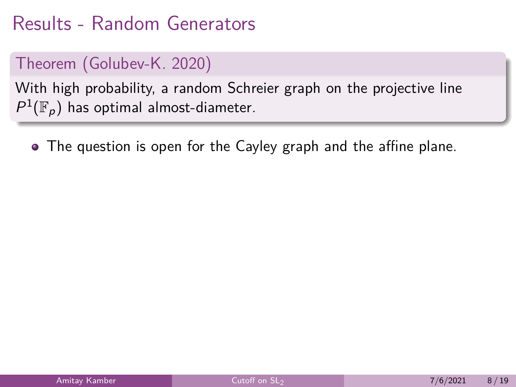# Results - Random Generators

### Theorem (Golubev-K. 2020)

With high probability, a random Schreier graph on the projective line  $P^1(\mathbb{F}_p)$  has optimal almost-diameter.

The question is open for the Cayley graph and the affine plane.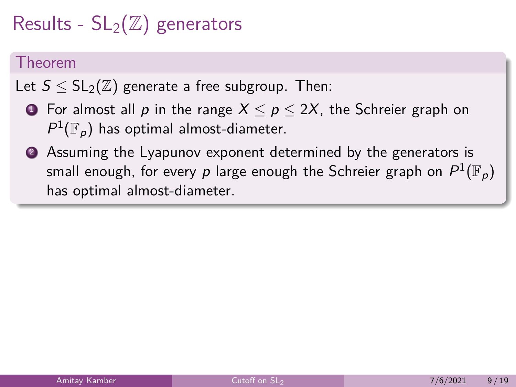# Results -  $SL_2(\mathbb{Z})$  generators

#### Theorem

Let  $S \le SL_2(\mathbb{Z})$  generate a free subgroup. Then:

- **1** For almost all p in the range  $X \le p \le 2X$ , the Schreier graph on  $P^1(\mathbb{F}_p)$  has optimal almost-diameter.
- <sup>2</sup> Assuming the Lyapunov exponent determined by the generators is small enough, for every  $\rho$  large enough the Schreier graph on  $P^1(\mathbb{F}_\rho)$ has optimal almost-diameter.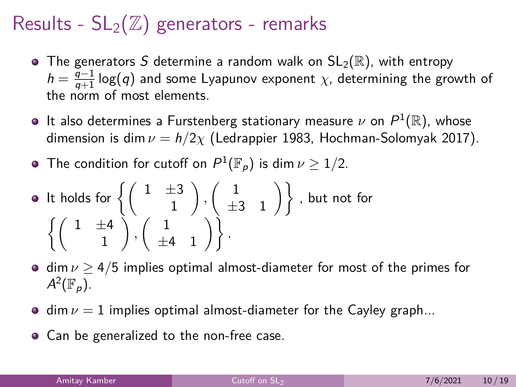# Results -  $SL_2(\mathbb{Z})$  generators - remarks

- The generators S determine a random walk on  $SL_2(\mathbb{R})$ , with entropy  $h = \frac{q-1}{q+1} \log(q)$  and some Lyapunov exponent  $\chi$ , determining the growth of the norm of most elements.
- It also determines a Furstenberg stationary measure  $\nu$  on  $P^1(\mathbb{R}),$  whose dimension is dim *ν* = h*/*2*χ* (Ledrappier 1983, Hochman-Solomyak 2017).
- The condition for cutoff on  $P^1(\mathbb{F}_\rho)$  is dim  $\nu \geq 1/2.$

• It holds for 
$$
\left\{ \begin{pmatrix} 1 & \pm 3 \\ 1 & 1 \end{pmatrix}, \begin{pmatrix} 1 \\ \pm 3 & 1 \end{pmatrix} \right\}
$$
, but not for 
$$
\left\{ \begin{pmatrix} 1 & \pm 4 \\ 1 & 1 \end{pmatrix}, \begin{pmatrix} 1 \\ \pm 4 & 1 \end{pmatrix} \right\}.
$$

- **■** dim *ν* > 4/5 implies optimal almost-diameter for most of the primes for  $A^2(\mathbb{F}_p).$
- $\bullet$  dim  $\nu = 1$  implies optimal almost-diameter for the Cayley graph...
- Can be generalized to the non-free case.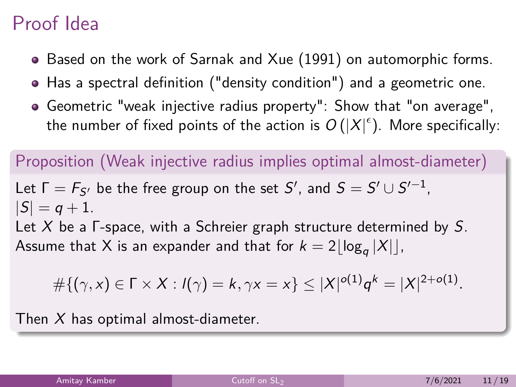## Proof Idea

- Based on the work of Sarnak and Xue (1991) on automorphic forms.
- Has a spectral definition ("density condition") and a geometric one.
- Geometric "weak injective radius property": Show that "on average", the number of fixed points of the action is  $O\left(|X|^{\epsilon}\right)$ . More specifically:

#### Proposition (Weak injective radius implies optimal almost-diameter)

Let  $\Gamma=F_{S'}$  be the free group on the set  $S',$  and  $S=S'\cup S'^{-1},$  $|S| = q + 1.$ 

Let  $X$  be a  $\Gamma$ -space, with a Schreier graph structure determined by S. Assume that X is an expander and that for  $k=2\lfloor\log_q|X|\rfloor$ ,

$$
\#\{(\gamma, x) \in \Gamma \times X : l(\gamma) = k, \gamma x = x\} \le |X|^{o(1)} q^k = |X|^{2+o(1)}.
$$

Then  $X$  has optimal almost-diameter.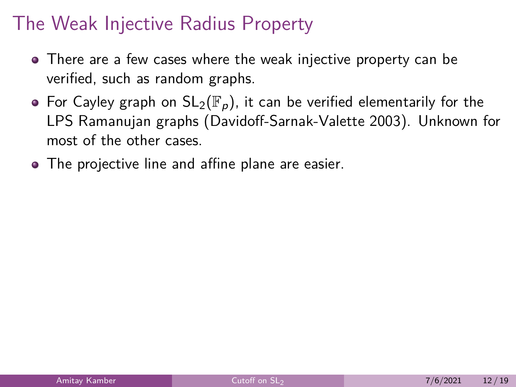### The Weak Injective Radius Property

- There are a few cases where the weak injective property can be verified, such as random graphs.
- For Cayley graph on  $SL_2(\mathbb{F}_p)$ , it can be verified elementarily for the LPS Ramanujan graphs (Davidoff-Sarnak-Valette 2003). Unknown for most of the other cases.
- The projective line and affine plane are easier.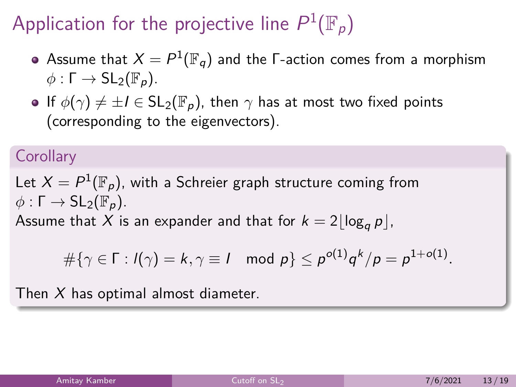Application for the projective line  $P^1(\mathbb{F}_p)$ 

- Assume that  $X=P^1(\mathbb{F}_q)$  and the <code>Γ-action</code> comes from a morphism  $\phi : \Gamma \to SL_2(\mathbb{F}_n)$ .
- **If**  $\phi(\gamma) \neq \pm I \in SL_2(\mathbb{F}_p)$ , then  $\gamma$  has at most two fixed points (corresponding to the eigenvectors).

#### **Corollary**

Let  $X = P^1(\mathbb{F}_p)$ , with a Schreier graph structure coming from  $\phi : \Gamma \to SL_2(\mathbb{F}_n)$ . Assume that X is an expander and that for  $k = 2|\log_a p|$ ,

$$
\#\{\gamma\in\Gamma: l(\gamma)=k, \gamma\equiv I\mod p\}\leq p^{o(1)}q^k/p=p^{1+o(1)}.
$$

Then  $X$  has optimal almost diameter.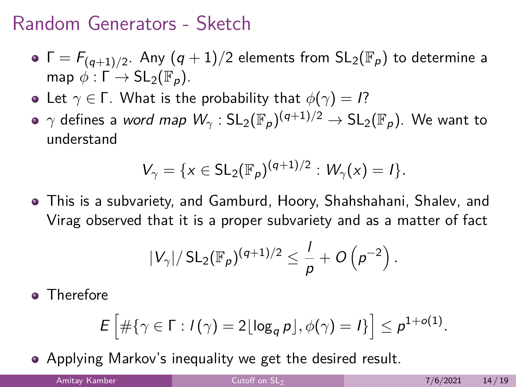### Random Generators - Sketch

- $\mathsf{\Gamma}=\mathsf{F}_{(q+1)/2}.$  Any  $(q+1)/2$  elements from  $\mathsf{SL}_2(\mathbb{F}_\rho)$  to determine a map  $\phi : \Gamma \to SL_2(\mathbb{F}_p)$ .
- **•** Let  $\gamma \in \Gamma$ . What is the probability that  $\phi(\gamma) = I$ ?
- $\gamma$  defines a *word map*  $W_\gamma: \mathsf{SL}_2(\mathbb{F}_p)^{(q+1)/2} \to \mathsf{SL}_2(\mathbb{F}_p).$  *We want to* understand

$$
V_{\gamma} = \{x \in SL_2(\mathbb{F}_p)^{(q+1)/2} : W_{\gamma}(x) = I\}.
$$

This is a subvariety, and Gamburd, Hoory, Shahshahani, Shalev, and Virag observed that it is a proper subvariety and as a matter of fact

$$
|V_{\gamma}|/\operatorname{SL}_2(\mathbb{F}_p)^{(q+1)/2}\leq \frac{1}{p}+O\left(p^{-2}\right).
$$

**•** Therefore

$$
E\left[\#\{\gamma\in\Gamma: I(\gamma)=2\lfloor \log_q p \rfloor, \phi(\gamma)=1\}\right]\leq p^{1+o(1)}.
$$

Applying Markov's inequality we get the desired result.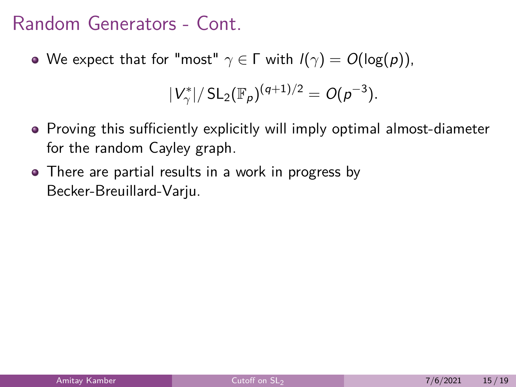### Random Generators - Cont.

• We expect that for "most"  $\gamma \in \Gamma$  with  $I(\gamma) = O(\log(p))$ ,

$$
|V_{\gamma}^*|/ \operatorname{SL}_2(\mathbb{F}_p)^{(q+1)/2} = O(p^{-3}).
$$

- Proving this sufficiently explicitly will imply optimal almost-diameter for the random Cayley graph.
- There are partial results in a work in progress by Becker-Breuillard-Varju.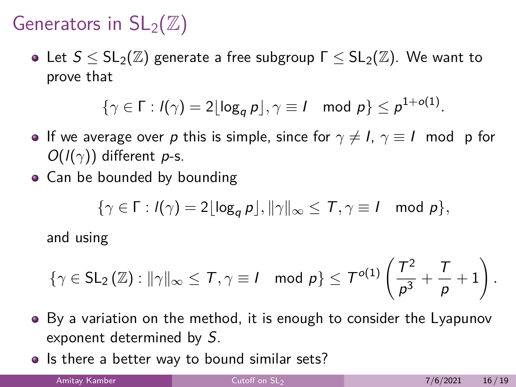# Generators in  $SL_2(\mathbb{Z})$

• Let  $S \leq SL_2(\mathbb{Z})$  generate a free subgroup  $\Gamma \leq SL_2(\mathbb{Z})$ . We want to prove that

$$
\{\gamma \in \Gamma : l(\gamma) = 2\lfloor \log_q p \rfloor, \gamma \equiv 1 \mod p\} \leq p^{1+o(1)}.
$$

- **If** we average over p this is simple, since for  $\gamma \neq I$ ,  $\gamma \equiv I$  mod p for  $O(I(\gamma))$  different *p*-s.
- Can be bounded by bounding

$$
\{\gamma\in \Gamma: I(\gamma)=2\lfloor \log_q p \rfloor, \|\gamma\|_\infty\leq \textit{T}, \gamma\equiv 1\mod p\},
$$

and using

$$
\left\{\gamma\in\mathsf{SL}_2\left(\mathbb{Z}\right)\colon \|\gamma\|_\infty\leq\mathcal{T}, \gamma\equiv I\mod p\right\}\leq \mathcal{T}^{o(1)}\left(\frac{\mathcal{T}^2}{\rho^3}+\frac{\mathcal{T}}{\rho}+1\right).
$$

- By a variation on the method, it is enough to consider the Lyapunov exponent determined by S.
- Is there a better way to bound similar sets?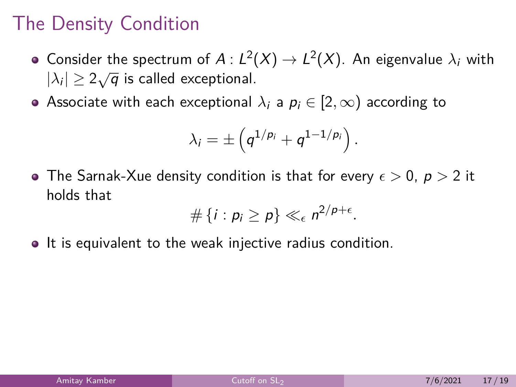### The Density Condition

- Consider the spectrum of  $A: L^2(X) \rightarrow L^2(X)$ . An eigenvalue  $\lambda_i$  with  $|\lambda_i| \geq 2\sqrt{q}$  is called exceptional.
- Associate with each exceptional  $\lambda_i$  a  $p_i \in [2,\infty)$  according to

$$
\lambda_i=\pm\left(q^{1/p_i}+q^{1-1/p_i}\right).
$$

• The Sarnak-Xue density condition is that for every  $\epsilon > 0$ ,  $p > 2$  it holds that

$$
\#\left\{i: p_i \geq p\right\} \ll_{\epsilon} n^{2/p+\epsilon}.
$$

• It is equivalent to the weak injective radius condition.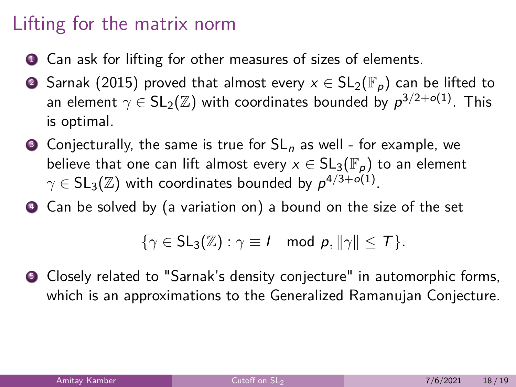### Lifting for the matrix norm

- **1** Can ask for lifting for other measures of sizes of elements.
- **②** Sarnak (2015) proved that almost every  $x \in SL_2(\mathbb{F}_p)$  can be lifted to an element  $\gamma\in\mathsf{SL}_2(\mathbb{Z})$  with coordinates bounded by  $\rho^{3/2+o(1)}$  . This is optimal.
- $\bullet$  Conjecturally, the same is true for  $SL_n$  as well for example, we believe that one can lift almost every  $x \in SL_3(\mathbb{F}_p)$  to an element  $\gamma\in\mathsf{SL}_3(\mathbb{Z})$  with coordinates bounded by  $\rho^{4/3+o(1)}.$
- <sup>4</sup> Can be solved by (a variation on) a bound on the size of the set

$$
\{\gamma\in\mathsf{SL}_3(\mathbb{Z}): \gamma\equiv I\mod p, \|\gamma\|\leq T\}.
$$

**•** Closely related to "Sarnak's density conjecture" in automorphic forms, which is an approximations to the Generalized Ramanujan Conjecture.